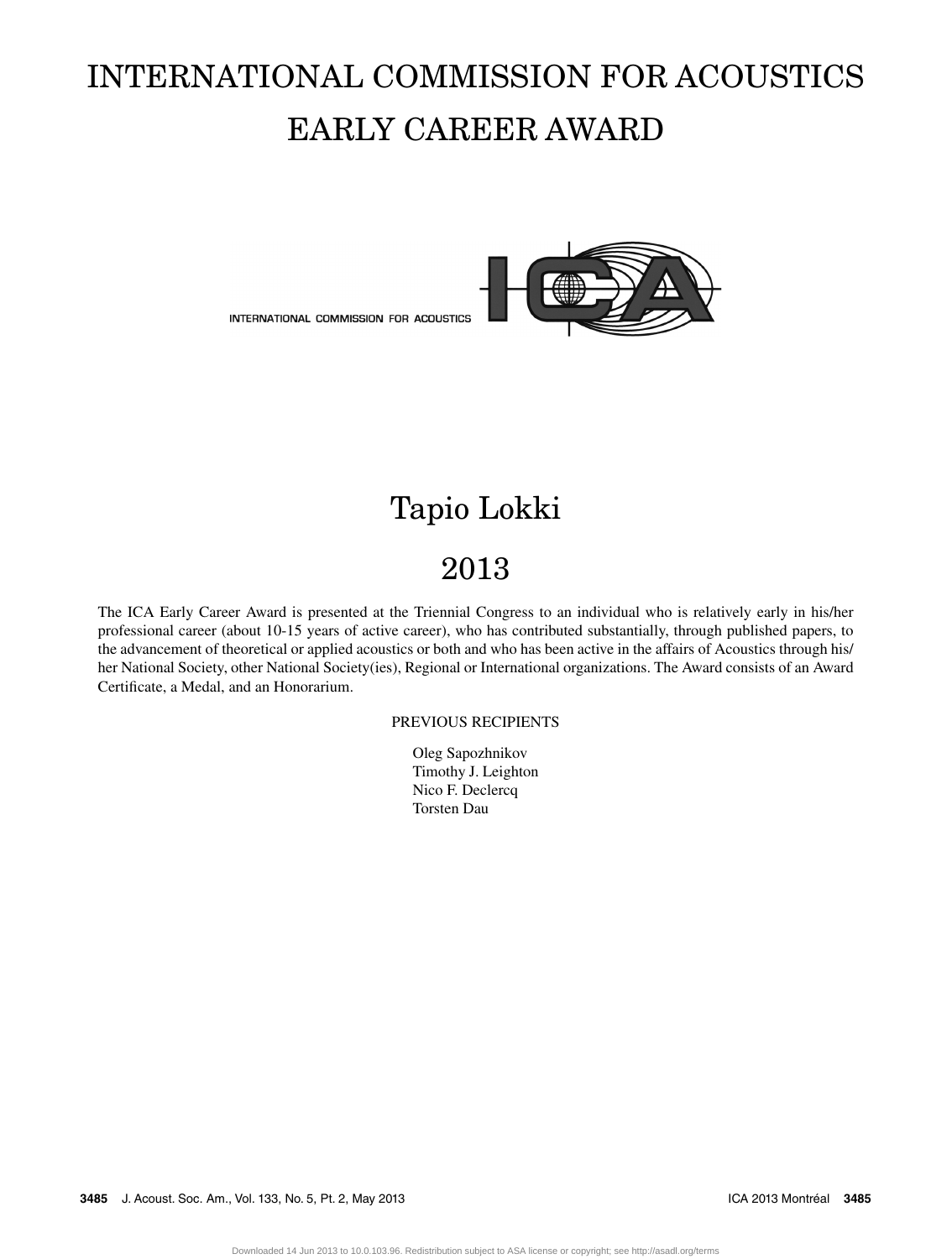# INTERNATIONAL COMMISSION FOR ACOUSTICS EARLY CAREER AWARD



INTERNATIONAL COMMISSION FOR ACOUSTICS

## Tapio Lokki

### 2013

The ICA Early Career Award is presented at the Triennial Congress to an individual who is relatively early in his/her professional career (about 10-15 years of active career), who has contributed substantially, through published papers, to the advancement of theoretical or applied acoustics or both and who has been active in the affairs of Acoustics through his/ her National Society, other National Society(ies), Regional or International organizations. The Award consists of an Award Certificate, a Medal, and an Honorarium.

#### PREVIOUS RECIPIENTS

Oleg Sapozhnikov Timothy J. Leighton Nico F. Declercq Torsten Dau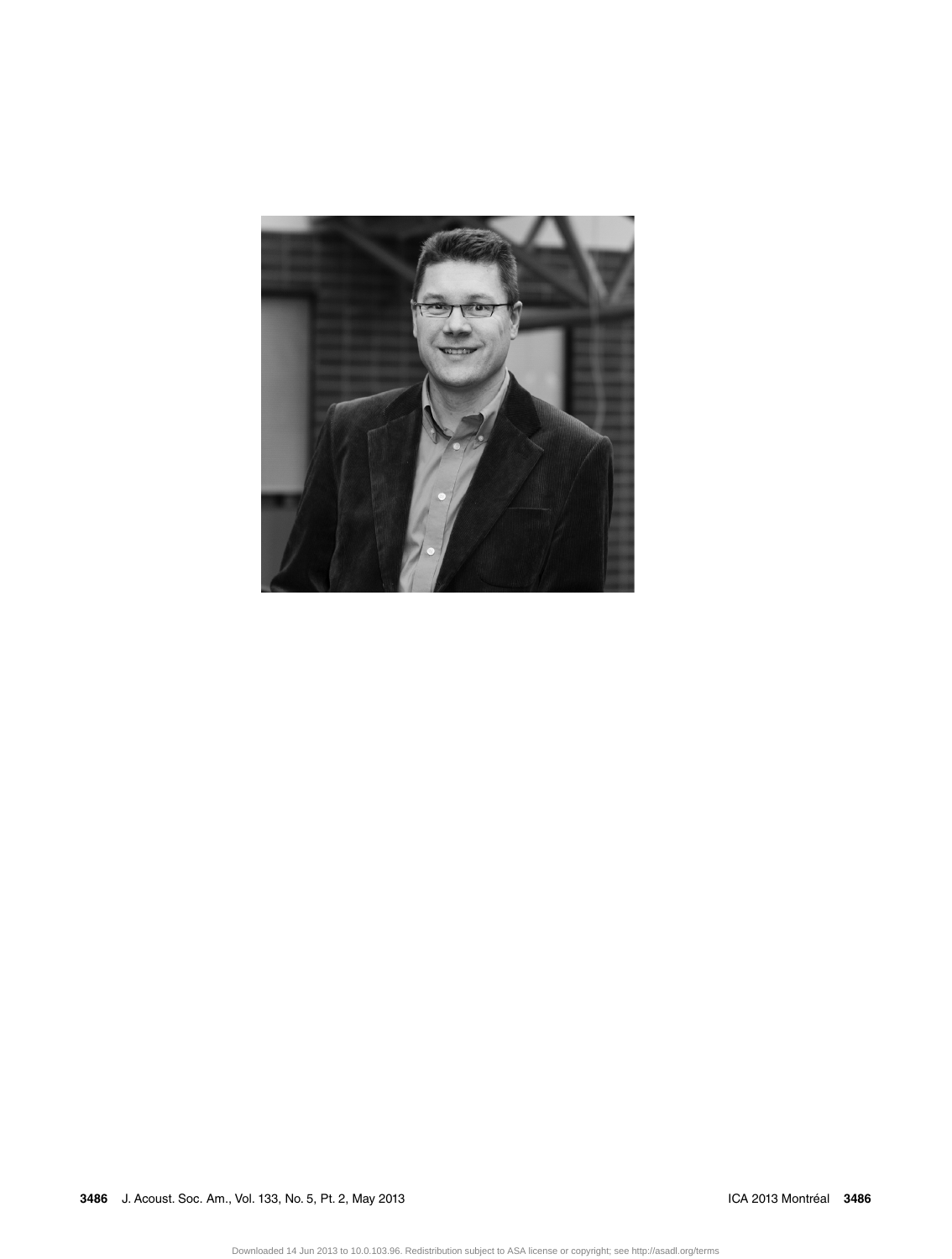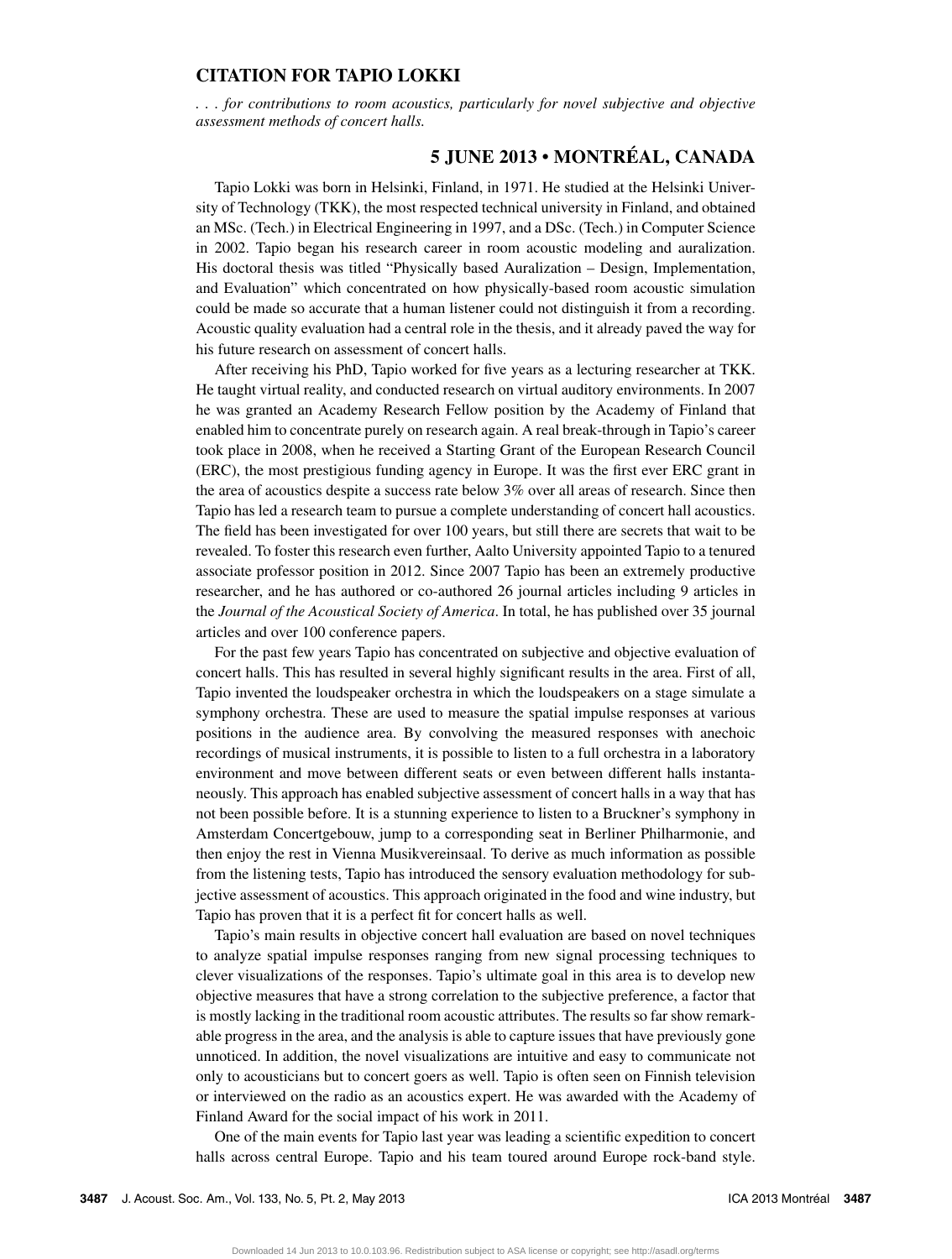#### **CITATION FOR TAPIO LOKKI**

*. . . for contributions to room acoustics, particularly for novel subjective and objective assessment methods of concert halls.*

#### **5 JUNE 2013 • MONTRÉAL, CANADA**

Tapio Lokki was born in Helsinki, Finland, in 1971. He studied at the Helsinki University of Technology (TKK), the most respected technical university in Finland, and obtained an MSc. (Tech.) in Electrical Engineering in 1997, and a DSc. (Tech.) in Computer Science in 2002. Tapio began his research career in room acoustic modeling and auralization. His doctoral thesis was titled "Physically based Auralization – Design, Implementation, and Evaluation" which concentrated on how physically-based room acoustic simulation could be made so accurate that a human listener could not distinguish it from a recording. Acoustic quality evaluation had a central role in the thesis, and it already paved the way for his future research on assessment of concert halls.

After receiving his PhD, Tapio worked for five years as a lecturing researcher at TKK. He taught virtual reality, and conducted research on virtual auditory environments. In 2007 he was granted an Academy Research Fellow position by the Academy of Finland that enabled him to concentrate purely on research again. A real break-through in Tapio's career took place in 2008, when he received a Starting Grant of the European Research Council (ERC), the most prestigious funding agency in Europe. It was the first ever ERC grant in the area of acoustics despite a success rate below 3% over all areas of research. Since then Tapio has led a research team to pursue a complete understanding of concert hall acoustics. The field has been investigated for over 100 years, but still there are secrets that wait to be revealed. To foster this research even further, Aalto University appointed Tapio to a tenured associate professor position in 2012. Since 2007 Tapio has been an extremely productive researcher, and he has authored or co-authored 26 journal articles including 9 articles in the *Journal of the Acoustical Society of America*. In total, he has published over 35 journal articles and over 100 conference papers.

For the past few years Tapio has concentrated on subjective and objective evaluation of concert halls. This has resulted in several highly significant results in the area. First of all, Tapio invented the loudspeaker orchestra in which the loudspeakers on a stage simulate a symphony orchestra. These are used to measure the spatial impulse responses at various positions in the audience area. By convolving the measured responses with anechoic recordings of musical instruments, it is possible to listen to a full orchestra in a laboratory environment and move between different seats or even between different halls instantaneously. This approach has enabled subjective assessment of concert halls in a way that has not been possible before. It is a stunning experience to listen to a Bruckner's symphony in Amsterdam Concertgebouw, jump to a corresponding seat in Berliner Philharmonie, and then enjoy the rest in Vienna Musikvereinsaal. To derive as much information as possible from the listening tests, Tapio has introduced the sensory evaluation methodology for subjective assessment of acoustics. This approach originated in the food and wine industry, but Tapio has proven that it is a perfect fit for concert halls as well.

Tapio's main results in objective concert hall evaluation are based on novel techniques to analyze spatial impulse responses ranging from new signal processing techniques to clever visualizations of the responses. Tapio's ultimate goal in this area is to develop new objective measures that have a strong correlation to the subjective preference, a factor that is mostly lacking in the traditional room acoustic attributes. The results so far show remarkable progress in the area, and the analysis is able to capture issues that have previously gone unnoticed. In addition, the novel visualizations are intuitive and easy to communicate not only to acousticians but to concert goers as well. Tapio is often seen on Finnish television or interviewed on the radio as an acoustics expert. He was awarded with the Academy of Finland Award for the social impact of his work in 2011.

One of the main events for Tapio last year was leading a scientific expedition to concert halls across central Europe. Tapio and his team toured around Europe rock-band style.